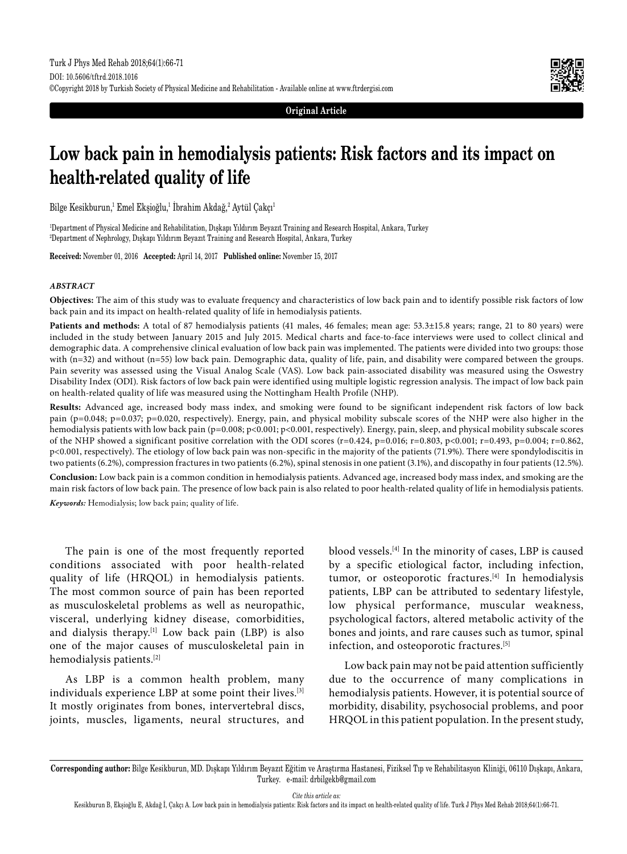

**Original Article**

# **Low back pain in hemodialysis patients: Risk factors and its impact on health-related quality of life**

Bilge Kesikburun,<sup>1</sup> Emel Ekşioğlu,<sup>1</sup> Ibrahim Akdağ,<sup>2</sup> Aytül Çakçı<sup>1</sup>

1 Department of Physical Medicine and Rehabilitation, Dışkapı Yıldırım Beyazıt Training and Research Hospital, Ankara, Turkey 2 Department of Nephrology, Dışkapı Yıldırım Beyazıt Training and Research Hospital, Ankara, Turkey

**Received:** November 01, 2016 **Accepted:** April 14, 2017 **Published online:** November 15, 2017

### *ABSTRACT*

**Objectives:** The aim of this study was to evaluate frequency and characteristics of low back pain and to identify possible risk factors of low back pain and its impact on health-related quality of life in hemodialysis patients.

Patients and methods: A total of 87 hemodialysis patients (41 males, 46 females; mean age: 53.3±15.8 years; range, 21 to 80 years) were included in the study between January 2015 and July 2015. Medical charts and face-to-face interviews were used to collect clinical and demographic data. A comprehensive clinical evaluation of low back pain was implemented. The patients were divided into two groups: those with (n=32) and without (n=55) low back pain. Demographic data, quality of life, pain, and disability were compared between the groups. Pain severity was assessed using the Visual Analog Scale (VAS). Low back pain-associated disability was measured using the Oswestry Disability Index (ODI). Risk factors of low back pain were identified using multiple logistic regression analysis. The impact of low back pain on health-related quality of life was measured using the Nottingham Health Profile (NHP).

**Results:** Advanced age, increased body mass index, and smoking were found to be significant independent risk factors of low back pain (p=0.048; p=0.037; p=0.020, respectively). Energy, pain, and physical mobility subscale scores of the NHP were also higher in the hemodialysis patients with low back pain (p=0.008; p<0.001; p<0.001, respectively). Energy, pain, sleep, and physical mobility subscale scores of the NHP showed a significant positive correlation with the ODI scores (r=0.424, p=0.016; r=0.803, p<0.001; r=0.493, p=0.004; r=0.862, p<0.001, respectively). The etiology of low back pain was non-specific in the majority of the patients (71.9%). There were spondylodiscitis in two patients (6.2%), compression fractures in two patients (6.2%), spinal stenosis in one patient (3.1%), and discopathy in four patients (12.5%).

**Conclusion:** Low back pain is a common condition in hemodialysis patients. Advanced age, increased body mass index, and smoking are the main risk factors of low back pain. The presence of low back pain is also related to poor health-related quality of life in hemodialysis patients. *Keywords:* Hemodialysis; low back pain; quality of life.

The pain is one of the most frequently reported conditions associated with poor health-related quality of life (HRQOL) in hemodialysis patients. The most common source of pain has been reported as musculoskeletal problems as well as neuropathic, visceral, underlying kidney disease, comorbidities, and dialysis therapy.<sup>[1]</sup> Low back pain (LBP) is also one of the major causes of musculoskeletal pain in hemodialysis patients.[2]

As LBP is a common health problem, many individuals experience LBP at some point their lives.[3] It mostly originates from bones, intervertebral discs, joints, muscles, ligaments, neural structures, and blood vessels.[4] In the minority of cases, LBP is caused by a specific etiological factor, including infection, tumor, or osteoporotic fractures.[4] In hemodialysis patients, LBP can be attributed to sedentary lifestyle, low physical performance, muscular weakness, psychological factors, altered metabolic activity of the bones and joints, and rare causes such as tumor, spinal infection, and osteoporotic fractures.[5]

Low back pain may not be paid attention sufficiently due to the occurrence of many complications in hemodialysis patients. However, it is potential source of morbidity, disability, psychosocial problems, and poor HRQOL in this patient population. In the present study,

*Cite this article as:*

**Corresponding author:** Bilge Kesikburun, MD. Dışkapı Yıldırım Beyazıt Eğitim ve Araştırma Hastanesi, Fiziksel Tıp ve Rehabilitasyon Kliniği, 06110 Dışkapı, Ankara, Turkey. e-mail: drbilgekb@gmail.com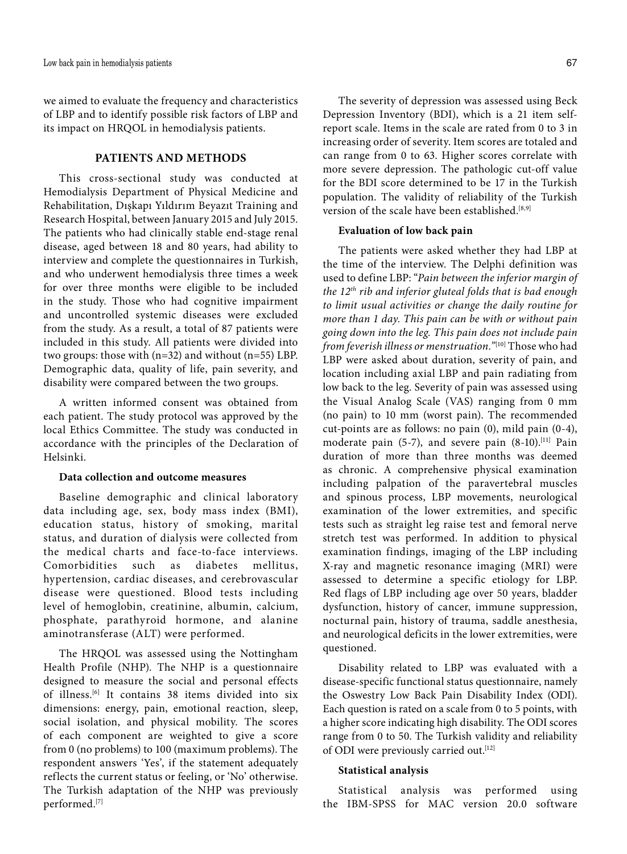we aimed to evaluate the frequency and characteristics of LBP and to identify possible risk factors of LBP and its impact on HRQOL in hemodialysis patients.

## **PATIENTS AND METHODS**

This cross-sectional study was conducted at Hemodialysis Department of Physical Medicine and Rehabilitation, Dışkapı Yıldırım Beyazıt Training and Research Hospital, between January 2015 and July 2015. The patients who had clinically stable end-stage renal disease, aged between 18 and 80 years, had ability to interview and complete the questionnaires in Turkish, and who underwent hemodialysis three times a week for over three months were eligible to be included in the study. Those who had cognitive impairment and uncontrolled systemic diseases were excluded from the study. As a result, a total of 87 patients were included in this study. All patients were divided into two groups: those with (n=32) and without (n=55) LBP. Demographic data, quality of life, pain severity, and disability were compared between the two groups.

A written informed consent was obtained from each patient. The study protocol was approved by the local Ethics Committee. The study was conducted in accordance with the principles of the Declaration of Helsinki.

## **Data collection and outcome measures**

Baseline demographic and clinical laboratory data including age, sex, body mass index (BMI), education status, history of smoking, marital status, and duration of dialysis were collected from the medical charts and face-to-face interviews. Comorbidities such as diabetes mellitus, hypertension, cardiac diseases, and cerebrovascular disease were questioned. Blood tests including level of hemoglobin, creatinine, albumin, calcium, phosphate, parathyroid hormone, and alanine aminotransferase (ALT) were performed.

The HRQOL was assessed using the Nottingham Health Profile (NHP). The NHP is a questionnaire designed to measure the social and personal effects of illness.[6] It contains 38 items divided into six dimensions: energy, pain, emotional reaction, sleep, social isolation, and physical mobility. The scores of each component are weighted to give a score from 0 (no problems) to 100 (maximum problems). The respondent answers 'Yes', if the statement adequately reflects the current status or feeling, or 'No' otherwise. The Turkish adaptation of the NHP was previously performed.[7]

The severity of depression was assessed using Beck Depression Inventory (BDI), which is a 21 item selfreport scale. Items in the scale are rated from 0 to 3 in increasing order of severity. Item scores are totaled and can range from 0 to 63. Higher scores correlate with more severe depression. The pathologic cut-off value for the BDI score determined to be 17 in the Turkish population. The validity of reliability of the Turkish version of the scale have been established.<sup>[8,9]</sup>

## **Evaluation of low back pain**

The patients were asked whether they had LBP at the time of the interview. The Delphi definition was used to define LBP: "*Pain between the inferior margin of the 12th rib and inferior gluteal folds that is bad enough to limit usual activities or change the daily routine for more than 1 day. This pain can be with or without pain going down into the leg. This pain does not include pain from feverish illness or menstruation."*[10] Those who had LBP were asked about duration, severity of pain, and location including axial LBP and pain radiating from low back to the leg. Severity of pain was assessed using the Visual Analog Scale (VAS) ranging from 0 mm (no pain) to 10 mm (worst pain). The recommended cut-points are as follows: no pain (0), mild pain (0-4), moderate pain (5-7), and severe pain (8-10).<sup>[11]</sup> Pain duration of more than three months was deemed as chronic. A comprehensive physical examination including palpation of the paravertebral muscles and spinous process, LBP movements, neurological examination of the lower extremities, and specific tests such as straight leg raise test and femoral nerve stretch test was performed. In addition to physical examination findings, imaging of the LBP including X-ray and magnetic resonance imaging (MRI) were assessed to determine a specific etiology for LBP. Red flags of LBP including age over 50 years, bladder dysfunction, history of cancer, immune suppression, nocturnal pain, history of trauma, saddle anesthesia, and neurological deficits in the lower extremities, were questioned.

Disability related to LBP was evaluated with a disease-specific functional status questionnaire, namely the Oswestry Low Back Pain Disability Index (ODI). Each question is rated on a scale from 0 to 5 points, with a higher score indicating high disability. The ODI scores range from 0 to 50. The Turkish validity and reliability of ODI were previously carried out.<sup>[12]</sup>

#### **Statistical analysis**

Statistical analysis was performed using the IBM-SPSS for MAC version 20.0 software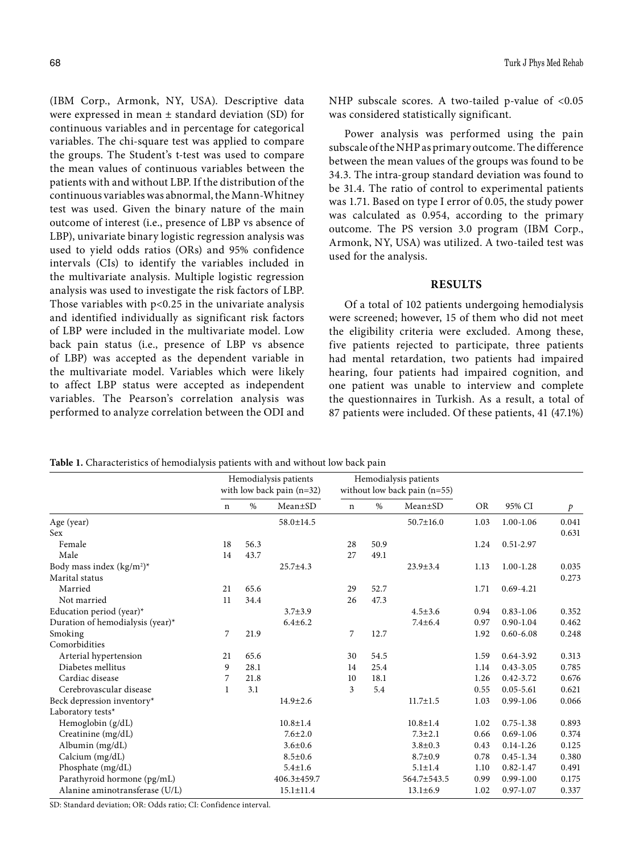(IBM Corp., Armonk, NY, USA). Descriptive data were expressed in mean  $\pm$  standard deviation (SD) for continuous variables and in percentage for categorical variables. The chi-square test was applied to compare the groups. The Student's t-test was used to compare the mean values of continuous variables between the patients with and without LBP. If the distribution of the continuous variables was abnormal, the Mann-Whitney test was used. Given the binary nature of the main outcome of interest (i.e., presence of LBP vs absence of LBP), univariate binary logistic regression analysis was used to yield odds ratios (ORs) and 95% confidence intervals (CIs) to identify the variables included in the multivariate analysis. Multiple logistic regression analysis was used to investigate the risk factors of LBP. Those variables with  $p<0.25$  in the univariate analysis and identified individually as significant risk factors of LBP were included in the multivariate model. Low back pain status (i.e., presence of LBP vs absence of LBP) was accepted as the dependent variable in the multivariate model. Variables which were likely to affect LBP status were accepted as independent variables. The Pearson's correlation analysis was performed to analyze correlation between the ODI and

NHP subscale scores. A two-tailed p-value of <0.05 was considered statistically significant.

Power analysis was performed using the pain subscale of the NHP as primary outcome. The difference between the mean values of the groups was found to be 34.3. The intra-group standard deviation was found to be 31.4. The ratio of control to experimental patients was 1.71. Based on type I error of 0.05, the study power was calculated as 0.954, according to the primary outcome. The PS version 3.0 program (IBM Corp., Armonk, NY, USA) was utilized. A two-tailed test was used for the analysis.

#### **RESULTS**

Of a total of 102 patients undergoing hemodialysis were screened; however, 15 of them who did not meet the eligibility criteria were excluded. Among these, five patients rejected to participate, three patients had mental retardation, two patients had impaired hearing, four patients had impaired cognition, and one patient was unable to interview and complete the questionnaires in Turkish. As a result, a total of 87 patients were included. Of these patients, 41 (47.1%)

**Table 1.** Characteristics of hemodialysis patients with and without low back pain

|                                  |    | Hemodialysis patients<br>with low back pain $(n=32)$ |                   | Hemodialysis patients<br>without low back pain $(n=55)$ |      |                 |           |               |               |
|----------------------------------|----|------------------------------------------------------|-------------------|---------------------------------------------------------|------|-----------------|-----------|---------------|---------------|
|                                  | n  | $\%$                                                 | $Mean \pm SD$     | $\mathbf n$                                             | %    | Mean±SD         | <b>OR</b> | 95% CI        | $\mathcal{P}$ |
| Age (year)                       |    |                                                      | 58.0±14.5         |                                                         |      | $50.7 \pm 16.0$ | 1.03      | $1.00 - 1.06$ | 0.041         |
| <b>Sex</b>                       |    |                                                      |                   |                                                         |      |                 |           |               | 0.631         |
| Female                           | 18 | 56.3                                                 |                   | 28                                                      | 50.9 |                 | 1.24      | 0.51-2.97     |               |
| Male                             | 14 | 43.7                                                 |                   | 27                                                      | 49.1 |                 |           |               |               |
| Body mass index $(kg/m2)*$       |    |                                                      | $25.7 \pm 4.3$    |                                                         |      | $23.9 \pm 3.4$  | 1.13      | $1.00 - 1.28$ | 0.035         |
| Marital status                   |    |                                                      |                   |                                                         |      |                 |           |               | 0.273         |
| Married                          | 21 | 65.6                                                 |                   | 29                                                      | 52.7 |                 | 1.71      | $0.69 - 4.21$ |               |
| Not married                      | 11 | 34.4                                                 |                   | 26                                                      | 47.3 |                 |           |               |               |
| Education period (year)*         |    |                                                      | $3.7 \pm 3.9$     |                                                         |      | $4.5 \pm 3.6$   | 0.94      | $0.83 - 1.06$ | 0.352         |
| Duration of hemodialysis (year)* |    |                                                      | $6.4{\pm}6.2$     |                                                         |      | $7.4 \pm 6.4$   | 0.97      | $0.90 - 1.04$ | 0.462         |
| Smoking                          | 7  | 21.9                                                 |                   | 7                                                       | 12.7 |                 | 1.92      | $0.60 - 6.08$ | 0.248         |
| Comorbidities                    |    |                                                      |                   |                                                         |      |                 |           |               |               |
| Arterial hypertension            | 21 | 65.6                                                 |                   | 30                                                      | 54.5 |                 | 1.59      | 0.64-3.92     | 0.313         |
| Diabetes mellitus                | 9  | 28.1                                                 |                   | 14                                                      | 25.4 |                 | 1.14      | $0.43 - 3.05$ | 0.785         |
| Cardiac disease                  | 7  | 21.8                                                 |                   | 10                                                      | 18.1 |                 | 1.26      | $0.42 - 3.72$ | 0.676         |
| Cerebrovascular disease          | 1  | 3.1                                                  |                   | 3                                                       | 5.4  |                 | 0.55      | $0.05 - 5.61$ | 0.621         |
| Beck depression inventory*       |    |                                                      | $14.9 \pm 2.6$    |                                                         |      | $11.7 \pm 1.5$  | 1.03      | 0.99-1.06     | 0.066         |
| Laboratory tests*                |    |                                                      |                   |                                                         |      |                 |           |               |               |
| Hemoglobin (g/dL)                |    |                                                      | $10.8 \pm 1.4$    |                                                         |      | $10.8 \pm 1.4$  | 1.02      | $0.75 - 1.38$ | 0.893         |
| Creatinine (mg/dL)               |    |                                                      | $7.6 \pm 2.0$     |                                                         |      | $7.3 \pm 2.1$   | 0.66      | $0.69 - 1.06$ | 0.374         |
| Albumin (mg/dL)                  |    |                                                      | $3.6 \pm 0.6$     |                                                         |      | $3.8 \pm 0.3$   | 0.43      | $0.14 - 1.26$ | 0.125         |
| Calcium $(mg/dL)$                |    |                                                      | $8.5 \pm 0.6$     |                                                         |      | $8.7 \pm 0.9$   | 0.78      | 0.45-1.34     | 0.380         |
| Phosphate (mg/dL)                |    |                                                      | $5.4 \pm 1.6$     |                                                         |      | $5.1 \pm 1.4$   | 1.10      | $0.82 - 1.47$ | 0.491         |
| Parathyroid hormone (pg/mL)      |    |                                                      | $406.3 \pm 459.7$ |                                                         |      | 564.7±543.5     | 0.99      | $0.99 - 1.00$ | 0.175         |
| Alanine aminotransferase (U/L)   |    |                                                      | $15.1 \pm 11.4$   |                                                         |      | $13.1 \pm 6.9$  | 1.02      | 0.97-1.07     | 0.337         |

SD: Standard deviation; OR: Odds ratio; CI: Confidence interval.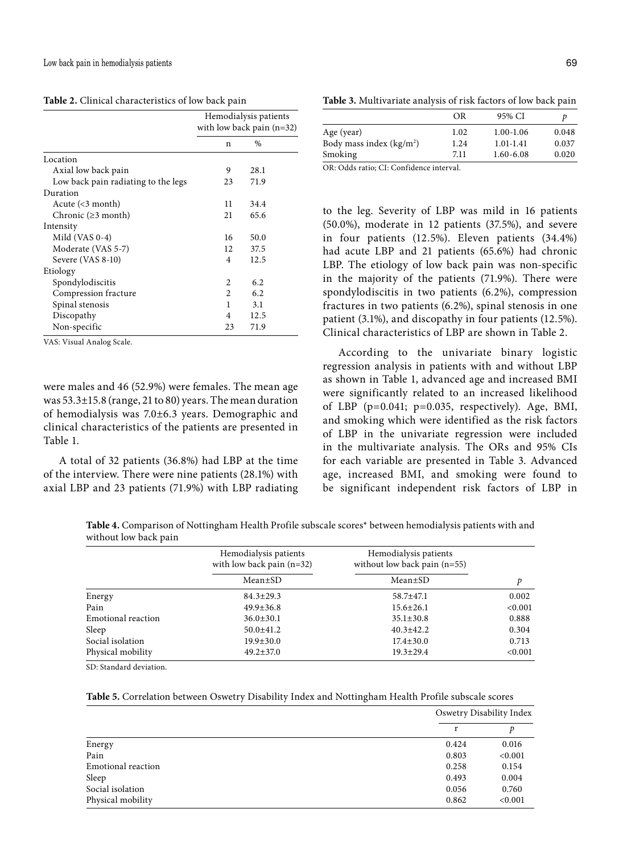| Table 2. Clinical characteristics of low back pain |  |
|----------------------------------------------------|--|
|----------------------------------------------------|--|

|                                          | Hemodialysis patients<br>with low back pain $(n=32)$ |      |  |
|------------------------------------------|------------------------------------------------------|------|--|
|                                          | n                                                    | $\%$ |  |
| Location                                 |                                                      |      |  |
| Axial low back pain                      | 9                                                    | 28.1 |  |
| Low back pain radiating to the legs      | 23                                                   | 71.9 |  |
| Duration                                 |                                                      |      |  |
| Acute $\left( < 3 \text{ month} \right)$ | 11                                                   | 34.4 |  |
| Chronic $(\geq 3$ month)                 | 21                                                   | 65.6 |  |
| Intensity                                |                                                      |      |  |
| Mild (VAS 0-4)                           | 16                                                   | 50.0 |  |
| Moderate (VAS 5-7)                       | 12                                                   | 37.5 |  |
| Severe (VAS 8-10)                        | 4                                                    | 12.5 |  |
| Etiology                                 |                                                      |      |  |
| Spondylodiscitis                         | 2                                                    | 6.2  |  |
| Compression fracture                     | $\mathfrak{D}$                                       | 6.2  |  |
| Spinal stenosis                          | 1                                                    | 3.1  |  |
| Discopathy                               | 4                                                    | 12.5 |  |
| Non-specific                             | 23                                                   | 71.9 |  |

VAS: Visual Analog Scale.

were males and 46 (52.9%) were females. The mean age was 53.3±15.8 (range, 21 to 80) years. The mean duration of hemodialysis was 7.0±6.3 years. Demographic and clinical characteristics of the patients are presented in Table 1.

A total of 32 patients (36.8%) had LBP at the time of the interview. There were nine patients (28.1%) with axial LBP and 23 patients (71.9%) with LBP radiating

**Table 3.** Multivariate analysis of risk factors of low back pain

|                                                                                   | OR   | 95% CI        |       |
|-----------------------------------------------------------------------------------|------|---------------|-------|
| Age (year)                                                                        | 1.02 | $1.00 - 1.06$ | 0.048 |
| Body mass index $(kg/m2)$                                                         | 1.24 | $1.01 - 1.41$ | 0.037 |
| Smoking                                                                           | 7.11 | $1.60 - 6.08$ | 0.020 |
| $\sim$ $\sim$ $\sim$ $\sim$ $\sim$ $\sim$ $\sim$<br>$\mathbf{a}$ and $\mathbf{a}$ |      |               |       |

OR: Odds ratio; CI: Confidence interval.

to the leg. Severity of LBP was mild in 16 patients (50.0%), moderate in 12 patients (37.5%), and severe in four patients (12.5%). Eleven patients (34.4%) had acute LBP and 21 patients (65.6%) had chronic LBP. The etiology of low back pain was non-specific in the majority of the patients (71.9%). There were spondylodiscitis in two patients (6.2%), compression fractures in two patients (6.2%), spinal stenosis in one patient (3.1%), and discopathy in four patients (12.5%). Clinical characteristics of LBP are shown in Table 2.

According to the univariate binary logistic regression analysis in patients with and without LBP as shown in Table 1, advanced age and increased BMI were significantly related to an increased likelihood of LBP ( $p=0.041$ ;  $p=0.035$ , respectively). Age, BMI, and smoking which were identified as the risk factors of LBP in the univariate regression were included in the multivariate analysis. The ORs and 95% CIs for each variable are presented in Table 3. Advanced age, increased BMI, and smoking were found to be significant independent risk factors of LBP in

**Table 4.** Comparison of Nottingham Health Profile subscale scores\* between hemodialysis patients with and without low back pain

|                    | Hemodialysis patients<br>with low back pain $(n=32)$ | Hemodialysis patients<br>without low back pain $(n=55)$ |         |
|--------------------|------------------------------------------------------|---------------------------------------------------------|---------|
|                    | Mean±SD                                              | Mean±SD                                                 | p       |
| Energy             | $84.3 \pm 29.3$                                      | $58.7 + 47.1$                                           | 0.002   |
| Pain               | $49.9 \pm 36.8$                                      | $15.6 \pm 26.1$                                         | < 0.001 |
| Emotional reaction | $36.0 \pm 30.1$                                      | $35.1 \pm 30.8$                                         | 0.888   |
| Sleep              | $50.0 \pm 41.2$                                      | $40.3 \pm 42.2$                                         | 0.304   |
| Social isolation   | $19.9 \pm 30.0$                                      | $17.4 \pm 30.0$                                         | 0.713   |
| Physical mobility  | $49.2 \pm 37.0$                                      | $19.3 \pm 29.4$                                         | < 0.001 |

SD: Standard deviation.

**Table 5.** Correlation between Oswetry Disability Index and Nottingham Health Profile subscale scores

|                    |       | Oswetry Disability Index |  |  |
|--------------------|-------|--------------------------|--|--|
|                    | r     | D                        |  |  |
| Energy             | 0.424 | 0.016                    |  |  |
| Pain               | 0.803 | < 0.001                  |  |  |
| Emotional reaction | 0.258 | 0.154                    |  |  |
| Sleep              | 0.493 | 0.004                    |  |  |
| Social isolation   | 0.056 | 0.760                    |  |  |
| Physical mobility  | 0.862 | < 0.001                  |  |  |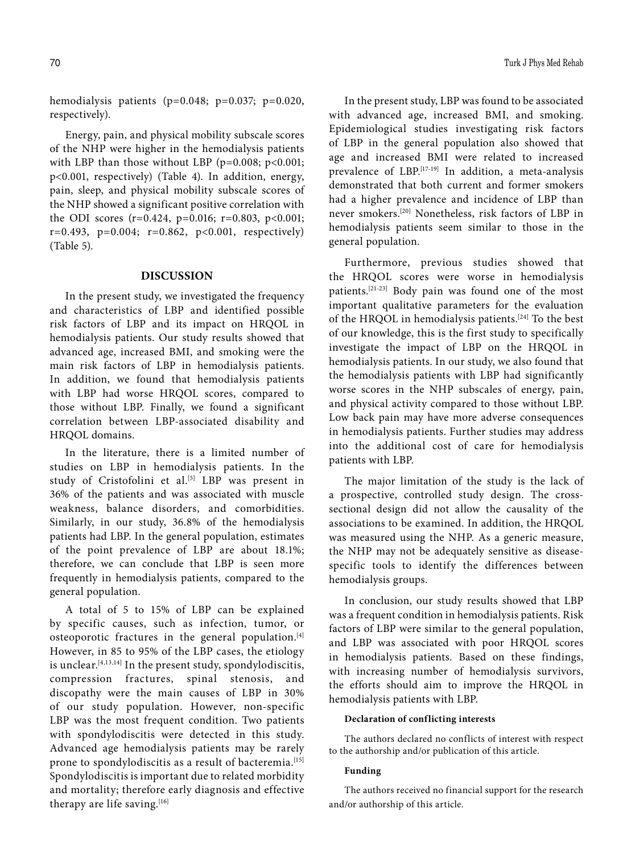hemodialysis patients (p=0.048; p=0.037; p=0.020, respectively).

Energy, pain, and physical mobility subscale scores of the NHP were higher in the hemodialysis patients with LBP than those without LBP ( $p=0.008$ ;  $p<0.001$ ; p<0.001, respectively) (Table 4). In addition, energy, pain, sleep, and physical mobility subscale scores of the NHP showed a significant positive correlation with the ODI scores  $(r=0.424, p=0.016; r=0.803, p<0.001;$  $r=0.493$ ,  $p=0.004$ ;  $r=0.862$ ,  $p<0.001$ , respectively) (Table 5).

#### **DISCUSSION**

In the present study, we investigated the frequency and characteristics of LBP and identified possible risk factors of LBP and its impact on HRQOL in hemodialysis patients. Our study results showed that advanced age, increased BMI, and smoking were the main risk factors of LBP in hemodialysis patients. In addition, we found that hemodialysis patients with LBP had worse HRQOL scores, compared to those without LBP. Finally, we found a significant correlation between LBP-associated disability and HRQOL domains.

In the literature, there is a limited number of studies on LBP in hemodialysis patients. In the study of Cristofolini et al.<sup>[5]</sup> LBP was present in 36% of the patients and was associated with muscle weakness, balance disorders, and comorbidities. Similarly, in our study, 36.8% of the hemodialysis patients had LBP. In the general population, estimates of the point prevalence of LBP are about 18.1%; therefore, we can conclude that LBP is seen more frequently in hemodialysis patients, compared to the general population.

A total of 5 to 15% of LBP can be explained by specific causes, such as infection, tumor, or osteoporotic fractures in the general population.<sup>[4]</sup> However, in 85 to 95% of the LBP cases, the etiology is unclear.[4,13,14] In the present study, spondylodiscitis, compression fractures, spinal stenosis, and discopathy were the main causes of LBP in 30% of our study population. However, non-specific LBP was the most frequent condition. Two patients with spondylodiscitis were detected in this study. Advanced age hemodialysis patients may be rarely prone to spondylodiscitis as a result of bacteremia.<sup>[15]</sup> Spondylodiscitis is important due to related morbidity and mortality; therefore early diagnosis and effective therapy are life saving.<sup>[16]</sup>

In the present study, LBP was found to be associated with advanced age, increased BMI, and smoking. Epidemiological studies investigating risk factors of LBP in the general population also showed that age and increased BMI were related to increased prevalence of LBP.[17-19] In addition, a meta-analysis demonstrated that both current and former smokers had a higher prevalence and incidence of LBP than never smokers.[20] Nonetheless, risk factors of LBP in hemodialysis patients seem similar to those in the general population.

Furthermore, previous studies showed that the HRQOL scores were worse in hemodialysis patients.[21-23] Body pain was found one of the most important qualitative parameters for the evaluation of the HRQOL in hemodialysis patients.[24] To the best of our knowledge, this is the first study to specifically investigate the impact of LBP on the HRQOL in hemodialysis patients. In our study, we also found that the hemodialysis patients with LBP had significantly worse scores in the NHP subscales of energy, pain, and physical activity compared to those without LBP. Low back pain may have more adverse consequences in hemodialysis patients. Further studies may address into the additional cost of care for hemodialysis patients with LBP.

The major limitation of the study is the lack of a prospective, controlled study design. The crosssectional design did not allow the causality of the associations to be examined. In addition, the HRQOL was measured using the NHP. As a generic measure, the NHP may not be adequately sensitive as diseasespecific tools to identify the differences between hemodialysis groups.

In conclusion, our study results showed that LBP was a frequent condition in hemodialysis patients. Risk factors of LBP were similar to the general population, and LBP was associated with poor HRQOL scores in hemodialysis patients. Based on these findings, with increasing number of hemodialysis survivors, the efforts should aim to improve the HRQOL in hemodialysis patients with LBP.

#### **Declaration of conflicting interests**

The authors declared no conflicts of interest with respect to the authorship and/or publication of this article.

#### **Funding**

The authors received no financial support for the research and/or authorship of this article.